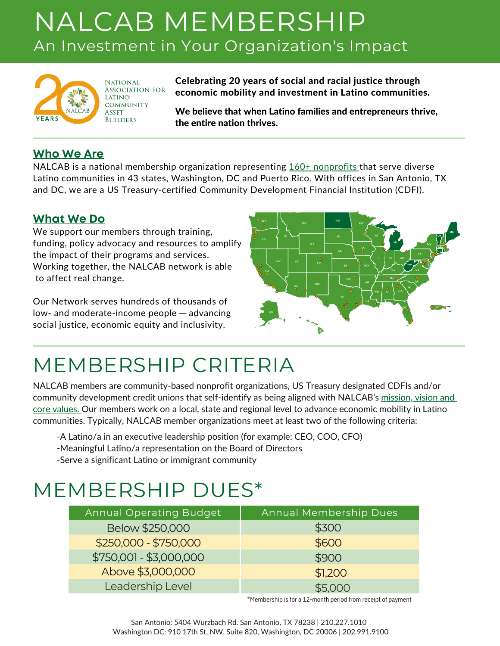# NALCAB MEMBERSHIP An Investment in Your Organization's Impact



**NATIONAL ASSOCIATION FOR LATINO** COMMUNITY **ASSET BUILDERS** 

[C](https://nalcab.org/)elebrating 20 years of social and racial justice through economic mobility and investment in Latino communities.

We believe that when Latino families and entrepreneurs thrive, the entire nation thrives.

### **[Who](https://nalcab.org/about-nalcab/) We Are**

NALCAB is a national membership organization representing 160+ [nonprofits](https://nalcab.org/membership/) [t](https://nalcab.org/membership/)hat serve diverse Latino communities in 43 states, Washington, DC and Puerto Rico. With offices in San Antonio, TX and DC, we are a US Treasury-certified Community Development Financial Institution (CDFI).

### **[What](https://nalcab.org/our-strategy/) We Do**

We support our members through training, funding, policy advocacy and resources to amplify the impact of their programs and services. Working together, the NALCAB network is able to affect real change.

Our Network serves hundreds of thousands of low- and moderate-income people — advancing social justice, economic equity and inclusivity.



# MEMBERSHIP CRITERIA

NALCAB members are community-based nonprofit organizations, US Treasury designated CDFIs and/or community development credit unions that self-identify as being aligned with NALCAB's [mission,](https://nalcab.org/about-nalcab/) vision and core [values.](https://nalcab.org/about-nalcab/) Our members work on a local, state and regional level to advance economic mobility in Latino communities. Typically, NALCAB member organizations meet at least two of the following criteria:

-A Latino/a in an executive leadership position (for example: CEO, COO, CFO)

-Meaningful Latino/a representation on the Board of Directors

-Serve a significant Latino or immigrant community

## MEMBERSHIP DUES\*

| <b>Annual Operating Budget</b> | Annual Membership Dues |
|--------------------------------|------------------------|
| Below \$250,000                | \$300                  |
| \$250,000 - \$750,000          | \$600                  |
| \$750,001 - \$3,000,000        | \$900                  |
| Above \$3,000,000              | \$1,200                |
| Leadership Level               | \$5,000                |

\*Membership is for a 12-month period from receipt of payment